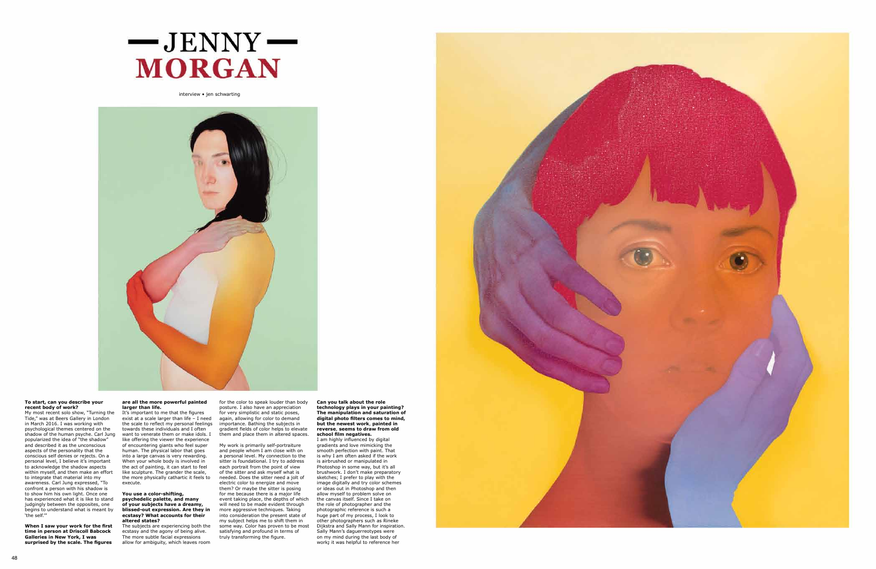# **To start, can you describe your recent body of work?**

My most recent solo show, "Turning the Tide," was at Beers Gallery in London in March 2016. I was working with psychological themes centered on the shadow of the human psyche. Carl Jung popularized the idea of "the shadow" and described it as the unconscious aspects of the personality that the conscious self denies or rejects. On a personal level, I believe it's important to acknowledge the shadow aspects within myself, and then make an effort to integrate that material into my awareness. Carl Jung expressed, "To confront a person with his shadow is to show him his own light. Once one has experienced what it is like to stand judgingly between the opposites, one begins to understand what is meant by 'the self.'"

**When I saw your work for the first time in person at Driscoll Babcock Galleries in New York, I was surprised by the scale. The figures** 

# **are all the more powerful painted larger than life.**

It's important to me that the figures exist at a scale larger than life – I need the scale to reflect my personal feelings towards these individuals and I often want to venerate them or make idols. I like offering the viewer the experience of encountering giants who feel super human. The physical labor that goes into a large canvas is very rewarding. When your whole body is involved in the act of painting, it can start to feel like sculpture. The grander the scale, the more physically cathartic it feels to execute.

# **You use a color-shifting, psychedelic palette, and many of your subjects have a dreamy, blissed-out expression. Are they in ecstasy? What accounts for their altered states?**

The subjects are experiencing both the ecstasy and the agony of being alive. The more subtle facial expressions allow for ambiguity, which leaves room

for the color to speak louder than body posture. I also have an appreciation for very simplistic and static poses, again, allowing for color to demand importance. Bathing the subjects in gradient fields of color helps to elevate them and place them in altered spaces.

My work is primarily self-portraiture and people whom I am close with on a personal level. My connection to the sitter is foundational. I try to address each portrait from the point of view of the sitter and ask myself what is needed. Does the sitter need a jolt of electric color to energize and move them? Or maybe the sitter is posing for me because there is a major life event taking place, the depths of which will need to be made evident through more aggressive techniques. Taking into consideration the present state of my subject helps me to shift them in some way. Color has proven to be most satisfying and profound in terms of truly transforming the figure.

**Can you talk about the role technology plays in your painting? The manipulation and saturation of digital photo filters comes to mind, but the newest work**, **painted in reverse**, **seems to draw from old school film negatives.** 

I am highly influenced by digital gradients and love mimicking the smooth perfection with paint. That is why I am often asked if the work is airbrushed or manipulated in Photoshop in some way, but it's all brushwork. I don't make preparatory sketches; I prefer to play with the image digitally and try color schemes or ideas out in Photoshop and then allow myself to problem solve on the canvas itself. Since I take on the role of photographer and the photographic reference is such a huge part of my process, I look to other photographers such as Rineke Dijkstra and Sally Mann for inspiration. Sally Mann's daguerreotypes were on my mind during the last body of work**;** it was helpful to reference her



interview • jen schwarting



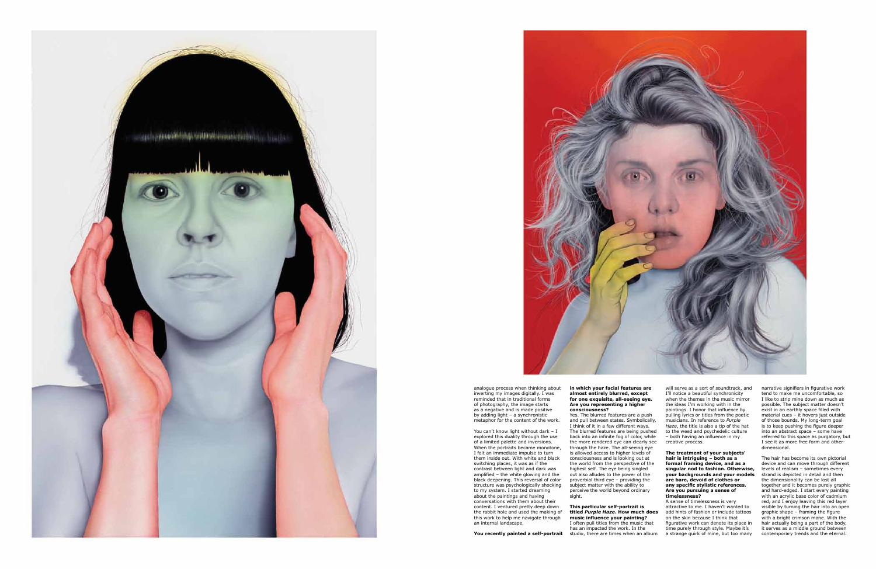analogue process when thinking about



inverting my images digitally. I was reminded that in traditional forms of photography, the image starts as a negative and is made positive by adding light – a synchronistic metaphor for the content of the work.

You can't know light without dark – I

explored this duality through the use of a limited palette and inversions. When the portraits became monotone, I felt an immediate impulse to turn them inside out. With white and black switching places, it was as if the contrast between light and dark was amplified – the white glowing and the black deepening. This reversal of color structure was psychologically shocking to my system. I started dreaming about the paintings and having conversations with them about their content. I ventured pretty deep down the rabbit hole and used the making of this work to help me navigate through an internal landscape.

**You recently painted a self-portrait** 



## **in which your facial features are almost entirely blurred, except for one exquisite, all-seeing eye. Are you representing a higher consciousness?**

Yes. The blurred features are a push and pull between states. Symbolically, I think of it in a few different ways. The blurred features are being pushed back into an infinite fog of color, while the more rendered eye can clearly see through the haze. The all-seeing eye is allowed access to higher levels of consciousness and is looking out at the world from the perspective of the highest self. The eye being singled out also alludes to the power of the proverbial third eye – providing the subject matter with the ability to perceive the world beyond ordinary sight.

# **This particular self-portrait is titled** *Purple Haze***. How much does music influence your painting?** I often pull titles from the music that

has an impacted the work. In the studio, there are times when an album

will serve as a sort of soundtrack, and I'll notice a beautiful synchronicity when the themes in the music mirror the ideas I'm working with in the paintings. I honor that influence by pulling lyrics or titles from the poetic musicians. In reference to *Purple Haze*, the title is also a tip of the hat to the weed and psychedelic culture – both having an influence in my creative process.

## **The treatment of your subjects' hair is intriguing – both as a formal framing device, and as a singular nod to fashion. Otherwise, your backgrounds and your models are bare, devoid of clothes or any specific stylistic references. Are you pursuing a sense of timelessness?**

A sense of timelessness is very attractive to me. I haven't wanted to add hints of fashion or include tattoos on the skin because I think that figurative work can denote its place in time purely through style. Maybe it's a strange quirk of mine, but too many narrative signifiers in figurative work tend to make me uncomfortable, so I like to strip mine down as much as possible. The subject matter doesn't exist in an earthly space filled with material cues – it hovers just outside of those bounds. My long-term goal is to keep pushing the figure deeper into an abstract space – some have referred to this space as purgatory, but I see it as more free form and otherdimensional.

The hair has become its own pictorial device and can move through different levels of realism – sometimes every strand is depicted in detail and then the dimensionality can be lost all together and it becomes purely graphic and hard-edged. I start every painting with an acrylic base color of cadmium red, and I enjoy leaving this red layer visible by turning the hair into an open graphic shape – framing the figure with a bright crimson mane. With the hair actually being a part of the body, it serves as a middle ground between contemporary trends and the eternal.